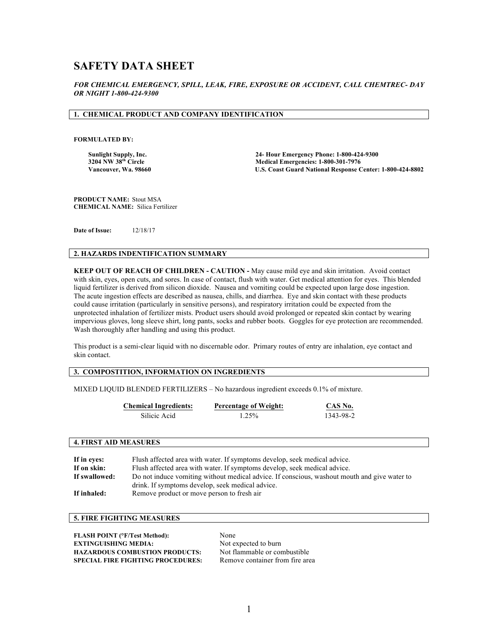# **SAFETY DATA SHEET**

*FOR CHEMICAL EMERGENCY, SPILL, LEAK, FIRE, EXPOSURE OR ACCIDENT, CALL CHEMTREC- DAY OR NIGHT 1-800-424-9300*

# **1. CHEMICAL PRODUCT AND COMPANY IDENTIFICATION**

**FORMULATED BY:** 

**Sunlight Supply, Inc. 24- Hour Emergency Phone: 1-800-424-9300 3204 NW 38<sup>th</sup> Circle 1200-301-7976**<br> **1204 NW 38<sup>th</sup> Circle 1206 Club Control Control Control Control Control Control Control Control Control Control Control Control Control Control Control Control Control Control Contro U.S. Coast Guard National Response Center: 1-800-424-8802** 

**PRODUCT NAME:** Stout MSA **CHEMICAL NAME:** Silica Fertilizer

**Date of Issue:** 12/18/17

#### **2. HAZARDS INDENTIFICATION SUMMARY**

**KEEP OUT OF REACH OF CHILDREN - CAUTION -** May cause mild eye and skin irritation. Avoid contact with skin, eyes, open cuts, and sores. In case of contact, flush with water. Get medical attention for eyes. This blended liquid fertilizer is derived from silicon dioxide. Nausea and vomiting could be expected upon large dose ingestion. The acute ingestion effects are described as nausea, chills, and diarrhea. Eye and skin contact with these products could cause irritation (particularly in sensitive persons), and respiratory irritation could be expected from the unprotected inhalation of fertilizer mists. Product users should avoid prolonged or repeated skin contact by wearing impervious gloves, long sleeve shirt, long pants, socks and rubber boots. Goggles for eye protection are recommended. Wash thoroughly after handling and using this product.

This product is a semi-clear liquid with no discernable odor. Primary routes of entry are inhalation, eye contact and skin contact.

### **3. COMPOSTITION, INFORMATION ON INGREDIENTS**

MIXED LIQUID BLENDED FERTILIZERS – No hazardous ingredient exceeds 0.1% of mixture.

| <b>Chemical Ingredients:</b> | <b>Percentage of Weight:</b> | CAS No.   |
|------------------------------|------------------------------|-----------|
| Silicic Acid                 | 1.25%                        | 1343-98-2 |

### **4. FIRST AID MEASURES**

| If in eves:   | Flush affected area with water. If symptoms develop, seek medical advice.                    |
|---------------|----------------------------------------------------------------------------------------------|
| If on skin:   | Flush affected area with water. If symptoms develop, seek medical advice.                    |
| If swallowed: | Do not induce vomiting without medical advice. If conscious, washout mouth and give water to |
|               | drink. If symptoms develop, seek medical advice.                                             |
| If inhaled:   | Remove product or move person to fresh air                                                   |

# **5. FIRE FIGHTING MEASURES**

| <b>FLASH POINT (°F/Test Method):</b>     | None                            |
|------------------------------------------|---------------------------------|
| <b>EXTINGUISHING MEDIA:</b>              | Not expected to burn            |
| <b>HAZARDOUS COMBUSTION PRODUCTS:</b>    | Not flammable or combustible    |
| <b>SPECIAL FIRE FIGHTING PROCEDURES:</b> | Remove container from fire area |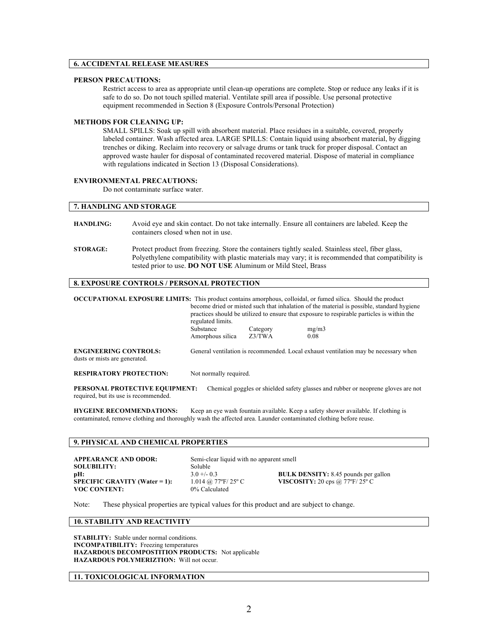# **6. ACCIDENTAL RELEASE MEASURES**

### **PERSON PRECAUTIONS:**

Restrict access to area as appropriate until clean-up operations are complete. Stop or reduce any leaks if it is safe to do so. Do not touch spilled material. Ventilate spill area if possible. Use personal protective equipment recommended in Section 8 (Exposure Controls/Personal Protection)

#### **METHODS FOR CLEANING UP:**

SMALL SPILLS: Soak up spill with absorbent material. Place residues in a suitable, covered, properly labeled container. Wash affected area. LARGE SPILLS: Contain liquid using absorbent material, by digging trenches or diking. Reclaim into recovery or salvage drums or tank truck for proper disposal. Contact an approved waste hauler for disposal of contaminated recovered material. Dispose of material in compliance with regulations indicated in Section 13 (Disposal Considerations).

### **ENVIRONMENTAL PRECAUTIONS:**

Do not contaminate surface water.

# **7. HANDLING AND STORAGE**

| <b>HANDLING:</b> | Avoid eye and skin contact. Do not take internally. Ensure all containers are labeled. Keep the<br>containers closed when not in use.                                                                    |
|------------------|----------------------------------------------------------------------------------------------------------------------------------------------------------------------------------------------------------|
| <b>STORAGE:</b>  | Protect product from freezing. Store the containers tightly sealed. Stainless steel, fiber glass,<br>Polyethylene compatibility with plastic materials may vary; it is recommended that compatibility is |
|                  | tested prior to use. DO NOT USE Aluminum or Mild Steel, Brass                                                                                                                                            |

### **8. EXPOSURE CONTROLS / PERSONAL PROTECTION**

|                                                               | regulated limits.                                                                   |          | <b>OCCUPATIONAL EXPOSURE LIMITS:</b> This product contains amorphous, colloidal, or fumed silica. Should the product<br>become dried or misted such that inhalation of the material is possible, standard hygiene<br>practices should be utilized to ensure that exposure to respirable particles is within the |
|---------------------------------------------------------------|-------------------------------------------------------------------------------------|----------|-----------------------------------------------------------------------------------------------------------------------------------------------------------------------------------------------------------------------------------------------------------------------------------------------------------------|
|                                                               | Substance                                                                           | Category | mg/m3                                                                                                                                                                                                                                                                                                           |
|                                                               | Amorphous silica                                                                    | Z3/TWA   | 0.08                                                                                                                                                                                                                                                                                                            |
| <b>ENGINEERING CONTROLS:</b><br>dusts or mists are generated. | General ventilation is recommended. Local exhaust ventilation may be necessary when |          |                                                                                                                                                                                                                                                                                                                 |
| <b>RESPIRATORY PROTECTION:</b>                                | Not normally required.                                                              |          |                                                                                                                                                                                                                                                                                                                 |

**PERSONAL PROTECTIVE EQUIPMENT:** Chemical goggles or shielded safety glasses and rubber or neoprene gloves are not required, but its use is recommended.

**HYGEINE RECOMMENDATIONS:** Keep an eye wash fountain available. Keep a safety shower available. If clothing is contaminated, remove clothing and thoroughly wash the affected area. Launder contaminated clothing before reuse.

# **9. PHYSICAL AND CHEMICAL PROPERTIES**

| <b>APPEARANCE AND ODOR:</b>   | Semi-clear liquid with no apparent smell |                                             |
|-------------------------------|------------------------------------------|---------------------------------------------|
| <b>SOLUBILITY:</b>            | <b>Soluble</b>                           |                                             |
| pH:                           | $3.0 + 6.03$                             | <b>BULK DENSITY:</b> 8.45 pounds per gallon |
| SPECIFIC GRAVITY (Water = 1): | 1.014 @ 77°F/25° C                       | VISCOSITY: 20 cps @ 77 $\rm F/25$ °C        |
| <b>VOC CONTENT:</b>           | 0% Calculated                            |                                             |

Note: These physical properties are typical values for this product and are subject to change.

# **10. STABILITY AND REACTIVITY**

**STABILITY:** Stable under normal conditions. **INCOMPATIBILITY:** Freezing temperatures **HAZARDOUS DECOMPOSTITION PRODUCTS:** Not applicable **HAZARDOUS POLYMERIZTION:** Will not occur.

### **11. TOXICOLOGICAL INFORMATION**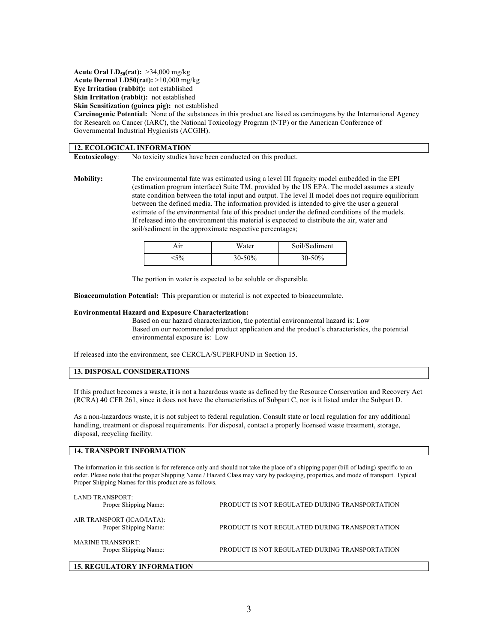**Acute Oral LD<sub>50</sub>(rat):** >34,000 mg/kg **Acute Dermal LD50(rat):** >10,000 mg/kg **Eye Irritation (rabbit):** not established

**Skin Irritation (rabbit):** not established

**Skin Sensitization (guinea pig):** not established

**Carcinogenic Potential:** None of the substances in this product are listed as carcinogens by the International Agency for Research on Cancer (IARC), the National Toxicology Program (NTP) or the American Conference of Governmental Industrial Hygienists (ACGIH).

### **12. ECOLOGICAL INFORMATION**

**Ecotoxicology**: No toxicity studies have been conducted on this product.

**Mobility:** The environmental fate was estimated using a level III fugacity model embedded in the EPI (estimation program interface) Suite TM, provided by the US EPA. The model assumes a steady state condition between the total input and output. The level II model does not require equilibrium between the defined media. The information provided is intended to give the user a general estimate of the environmental fate of this product under the defined conditions of the models. If released into the environment this material is expected to distribute the air, water and soil/sediment in the approximate respective percentages;

| ٨İr   | Water       | Soil/Sediment |
|-------|-------------|---------------|
| $5\%$ | $30 - 50\%$ | $30 - 50\%$   |

The portion in water is expected to be soluble or dispersible.

**Bioaccumulation Potential:** This preparation or material is not expected to bioaccumulate.

### **Environmental Hazard and Exposure Characterization:**

Based on our hazard characterization, the potential environmental hazard is: Low Based on our recommended product application and the product's characteristics, the potential environmental exposure is: Low

If released into the environment, see CERCLA/SUPERFUND in Section 15.

# **13. DISPOSAL CONSIDERATIONS**

If this product becomes a waste, it is not a hazardous waste as defined by the Resource Conservation and Recovery Act (RCRA) 40 CFR 261, since it does not have the characteristics of Subpart C, nor is it listed under the Subpart D.

As a non-hazardous waste, it is not subject to federal regulation. Consult state or local regulation for any additional handling, treatment or disposal requirements. For disposal, contact a properly licensed waste treatment, storage, disposal, recycling facility.

# **14. TRANSPORT INFORMATION**

The information in this section is for reference only and should not take the place of a shipping paper (bill of lading) specific to an order. Please note that the proper Shipping Name / Hazard Class may vary by packaging, properties, and mode of transport. Typical Proper Shipping Names for this product are as follows.

| LAND TRANSPORT:<br>Proper Shipping Name:            | PRODUCT IS NOT REGULATED DURING TRANSPORTATION |
|-----------------------------------------------------|------------------------------------------------|
| AIR TRANSPORT (ICAO/IATA):<br>Proper Shipping Name: | PRODUCT IS NOT REGULATED DURING TRANSPORTATION |
| MARINE TRANSPORT:<br>Proper Shipping Name:          | PRODUCT IS NOT REGULATED DURING TRANSPORTATION |

# **15. REGULATORY INFORMATION**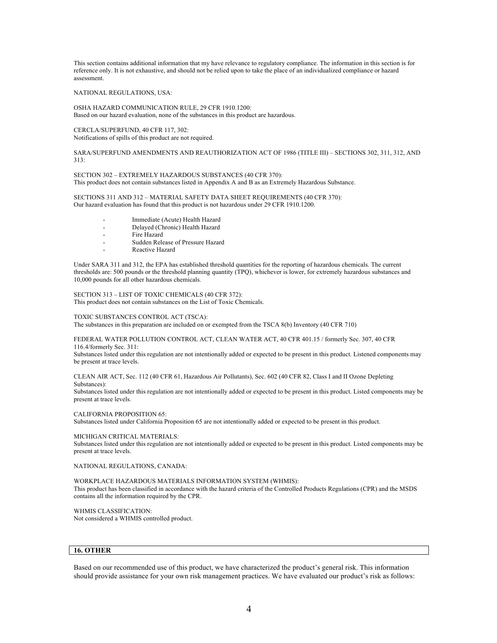This section contains additional information that my have relevance to regulatory compliance. The information in this section is for reference only. It is not exhaustive, and should not be relied upon to take the place of an individualized compliance or hazard assessment.

#### NATIONAL REGULATIONS, USA:

OSHA HAZARD COMMUNICATION RULE, 29 CFR 1910.1200: Based on our hazard evaluation, none of the substances in this product are hazardous.

CERCLA/SUPERFUND, 40 CFR 117, 302: Notifications of spills of this product are not required.

SARA/SUPERFUND AMENDMENTS AND REAUTHORIZATION ACT OF 1986 (TITLE III) – SECTIONS 302, 311, 312, AND 313:

SECTION 302 – EXTREMELY HAZARDOUS SUBSTANCES (40 CFR 370): This product does not contain substances listed in Appendix A and B as an Extremely Hazardous Substance.

SECTIONS 311 AND 312 – MATERIAL SAFETY DATA SHEET REQUIREMENTS (40 CFR 370): Our hazard evaluation has found that this product is not hazardous under 29 CFR 1910.1200.

- Immediate (Acute) Health Hazard
- Delayed (Chronic) Health Hazard
- Fire Hazard
- Sudden Release of Pressure Hazard
- Reactive Hazard

Under SARA 311 and 312, the EPA has established threshold quantities for the reporting of hazardous chemicals. The current thresholds are: 500 pounds or the threshold planning quantity (TPQ), whichever is lower, for extremely hazardous substances and 10,000 pounds for all other hazardous chemicals.

SECTION 313 – LIST OF TOXIC CHEMICALS (40 CFR 372): This product does not contain substances on the List of Toxic Chemicals.

TOXIC SUBSTANCES CONTROL ACT (TSCA): The substances in this preparation are included on or exempted from the TSCA 8(b) Inventory (40 CFR 710)

FEDERAL WATER POLLUTION CONTROL ACT, CLEAN WATER ACT, 40 CFR 401.15 / formerly Sec. 307, 40 CFR 116.4/formerly Sec. 311:

Substances listed under this regulation are not intentionally added or expected to be present in this product. Listened components may be present at trace levels.

CLEAN AIR ACT, Sec. 112 (40 CFR 61, Hazardous Air Pollutants), Sec. 602 (40 CFR 82, Class I and II Ozone Depleting Substances):

Substances listed under this regulation are not intentionally added or expected to be present in this product. Listed components may be present at trace levels.

CALIFORNIA PROPOSITION 65:

Substances listed under California Proposition 65 are not intentionally added or expected to be present in this product.

MICHIGAN CRITICAL MATERIALS:

Substances listed under this regulation are not intentionally added or expected to be present in this product. Listed components may be present at trace levels.

NATIONAL REGULATIONS, CANADA:

WORKPLACE HAZARDOUS MATERIALS INFORMATION SYSTEM (WHMIS): This product has been classified in accordance with the hazard criteria of the Controlled Products Regulations (CPR) and the MSDS contains all the information required by the CPR.

WHMIS CLASSIFICATION: Not considered a WHMIS controlled product.

# **16. OTHER**

Based on our recommended use of this product, we have characterized the product's general risk. This information should provide assistance for your own risk management practices. We have evaluated our product's risk as follows: